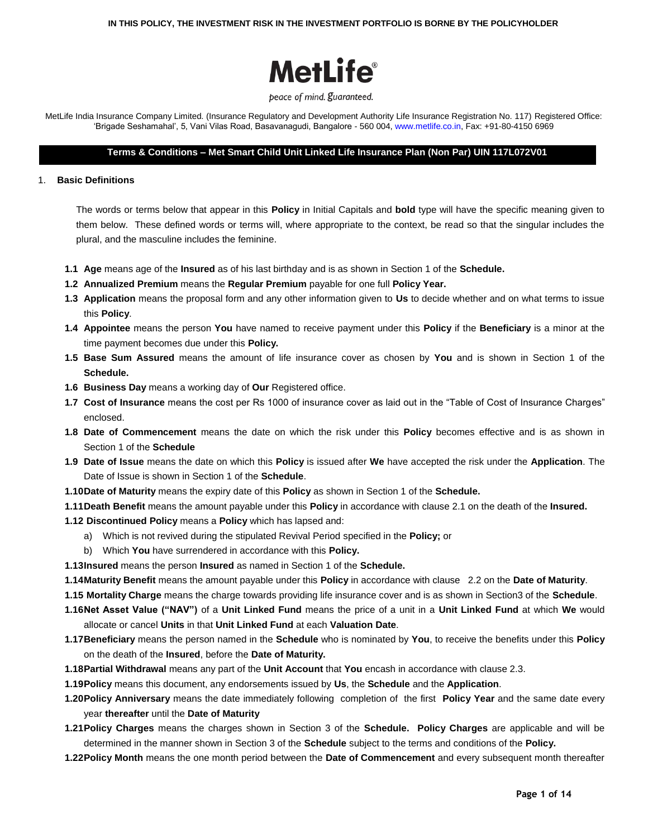

#### peace of mind. guaranteed.

MetLife India Insurance Company Limited. (Insurance Regulatory and Development Authority Life Insurance Registration No. 117) Registered Office: "Brigade Seshamahal", 5, Vani Vilas Road, Basavanagudi, Bangalore - 560 004, www.metlife.co.in, Fax: +91-80-4150 6969

## **Terms & Conditions – Met Smart Child Unit Linked Life Insurance Plan (Non Par) UIN 117L072V01**

### 1. **Basic Definitions**

The words or terms below that appear in this **Policy** in Initial Capitals and **bold** type will have the specific meaning given to them below. These defined words or terms will, where appropriate to the context, be read so that the singular includes the plural, and the masculine includes the feminine.

- **1.1 Age** means age of the **Insured** as of his last birthday and is as shown in Section 1 of the **Schedule.**
- **1.2 Annualized Premium** means the **Regular Premium** payable for one full **Policy Year.**
- **1.3 Application** means the proposal form and any other information given to **Us** to decide whether and on what terms to issue this **Policy**.
- **1.4 Appointee** means the person **You** have named to receive payment under this **Policy** if the **Beneficiary** is a minor at the time payment becomes due under this **Policy.**
- **1.5 Base Sum Assured** means the amount of life insurance cover as chosen by **You** and is shown in Section 1 of the **Schedule.**
- **1.6 Business Day** means a working day of **Our** Registered office.
- **1.7 Cost of Insurance** means the cost per Rs 1000 of insurance cover as laid out in the "Table of Cost of Insurance Charges" enclosed.
- **1.8 Date of Commencement** means the date on which the risk under this **Policy** becomes effective and is as shown in Section 1 of the **Schedule**
- **1.9 Date of Issue** means the date on which this **Policy** is issued after **We** have accepted the risk under the **Application**. The Date of Issue is shown in Section 1 of the **Schedule**.
- **1.10Date of Maturity** means the expiry date of this **Policy** as shown in Section 1 of the **Schedule.**
- **1.11Death Benefit** means the amount payable under this **Policy** in accordance with clause 2.1 on the death of the **Insured.**
- **1.12 Discontinued Policy** means a **Policy** which has lapsed and:
	- a) Which is not revived during the stipulated Revival Period specified in the **Policy;** or
	- b) Which **You** have surrendered in accordance with this **Policy.**
- **1.13Insured** means the person **Insured** as named in Section 1 of the **Schedule.**
- **1.14Maturity Benefit** means the amount payable under this **Policy** in accordance with clause 2.2 on the **Date of Maturity**.
- **1.15 Mortality Charge** means the charge towards providing life insurance cover and is as shown in Section3 of the **Schedule**.
- **1.16Net Asset Value ("NAV")** of a **Unit Linked Fund** means the price of a unit in a **Unit Linked Fund** at which **We** would allocate or cancel **Units** in that **Unit Linked Fund** at each **Valuation Date**.
- **1.17Beneficiary** means the person named in the **Schedule** who is nominated by **You**, to receive the benefits under this **Policy** on the death of the **Insured**, before the **Date of Maturity.**
- **1.18Partial Withdrawal** means any part of the **Unit Account** that **You** encash in accordance with clause 2.3.
- **1.19Policy** means this document, any endorsements issued by **Us**, the **Schedule** and the **Application**.
- **1.20Policy Anniversary** means the date immediately following completion of the first **Policy Year** and the same date every year **thereafter** until the **Date of Maturity**
- **1.21Policy Charges** means the charges shown in Section 3 of the **Schedule. Policy Charges** are applicable and will be determined in the manner shown in Section 3 of the **Schedule** subject to the terms and conditions of the **Policy.**
- **1.22Policy Month** means the one month period between the **Date of Commencement** and every subsequent month thereafter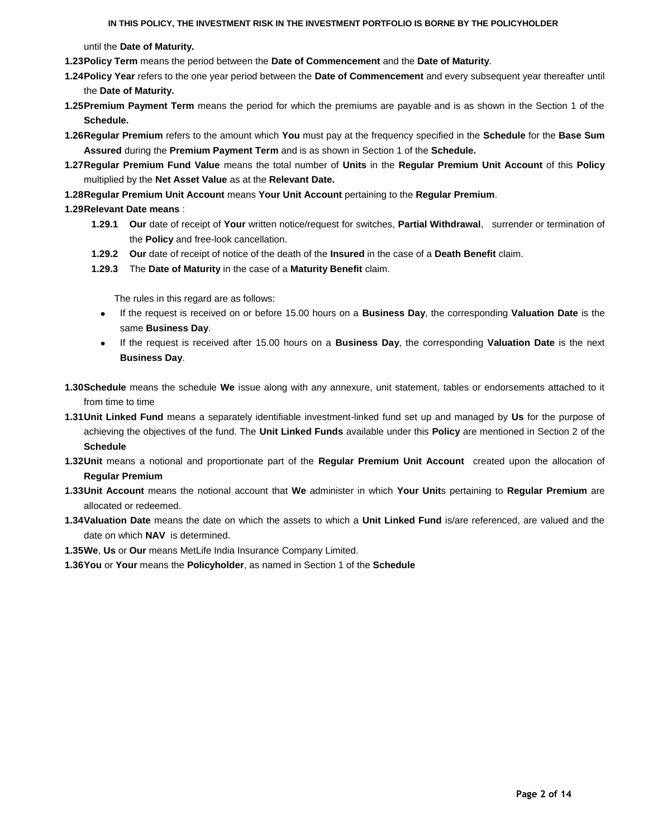until the **Date of Maturity.**

- **1.23Policy Term** means the period between the **Date of Commencement** and the **Date of Maturity**.
- **1.24Policy Year** refers to the one year period between the **Date of Commencement** and every subsequent year thereafter until the **Date of Maturity.**
- **1.25Premium Payment Term** means the period for which the premiums are payable and is as shown in the Section 1 of the **Schedule.**
- **1.26Regular Premium** refers to the amount which **You** must pay at the frequency specified in the **Schedule** for the **Base Sum Assured** during the **Premium Payment Term** and is as shown in Section 1 of the **Schedule.**
- **1.27Regular Premium Fund Value** means the total number of **Units** in the **Regular Premium Unit Account** of this **Policy** multiplied by the **Net Asset Value** as at the **Relevant Date.**
- **1.28Regular Premium Unit Account** means **Your Unit Account** pertaining to the **Regular Premium**.
- **1.29Relevant Date means** :
	- **1.29.1 Our** date of receipt of **Your** written notice/request for switches, **Partial Withdrawal**, surrender or termination of the **Policy** and free-look cancellation.
	- **1.29.2 Our** date of receipt of notice of the death of the **Insured** in the case of a **Death Benefit** claim.
	- **1.29.3** The **Date of Maturity** in the case of a **Maturity Benefit** claim.

The rules in this regard are as follows:

- If the request is received on or before 15.00 hours on a **Business Day**, the corresponding **Valuation Date** is the same **Business Day**.
- If the request is received after 15.00 hours on a **Business Day**, the corresponding **Valuation Date** is the next **Business Day**.
- **1.30Schedule** means the schedule **We** issue along with any annexure, unit statement, tables or endorsements attached to it from time to time
- **1.31Unit Linked Fund** means a separately identifiable investment-linked fund set up and managed by **Us** for the purpose of achieving the objectives of the fund. The **Unit Linked Funds** available under this **Policy** are mentioned in Section 2 of the **Schedule**
- **1.32Unit** means a notional and proportionate part of the **Regular Premium Unit Account** created upon the allocation of **Regular Premium**
- **1.33Unit Account** means the notional account that **We** administer in which **Your Unit**s pertaining to **Regular Premium** are allocated or redeemed.
- **1.34Valuation Date** means the date on which the assets to which a **Unit Linked Fund** is/are referenced, are valued and the date on which **NAV** is determined.
- **1.35We**, **Us** or **Our** means MetLife India Insurance Company Limited.
- **1.36You** or **Your** means the **Policyholder**, as named in Section 1 of the **Schedule**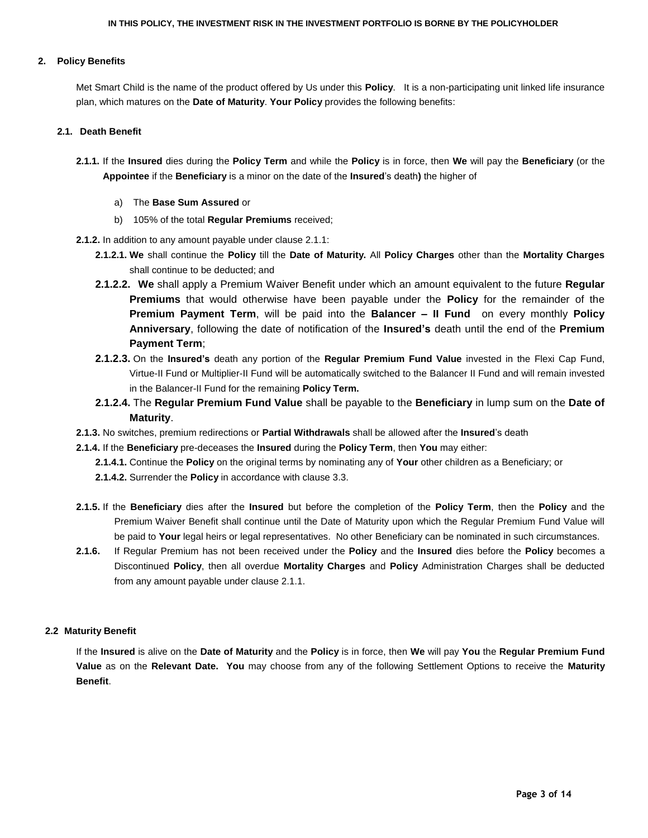### **2. Policy Benefits**

Met Smart Child is the name of the product offered by Us under this **Policy**. It is a non-participating unit linked life insurance plan, which matures on the **Date of Maturity**. **Your Policy** provides the following benefits:

#### **2.1. Death Benefit**

- **2.1.1.** If the **Insured** dies during the **Policy Term** and while the **Policy** is in force, then **We** will pay the **Beneficiary** (or the **Appointee** if the **Beneficiary** is a minor on the date of the **Insured**"s death**)** the higher of
	- a) The **Base Sum Assured** or
	- b) 105% of the total **Regular Premiums** received;
- **2.1.2.** In addition to any amount payable under clause 2.1.1:
	- **2.1.2.1. We** shall continue the **Policy** till the **Date of Maturity.** All **Policy Charges** other than the **Mortality Charges** shall continue to be deducted; and
	- **2.1.2.2. We** shall apply a Premium Waiver Benefit under which an amount equivalent to the future **Regular Premiums** that would otherwise have been payable under the **Policy** for the remainder of the **Premium Payment Term**, will be paid into the **Balancer – II Fund** on every monthly **Policy Anniversary**, following the date of notification of the **Insured"s** death until the end of the **Premium Payment Term**;
	- **2.1.2.3.** On the **Insured"s** death any portion of the **Regular Premium Fund Value** invested in the Flexi Cap Fund, Virtue-II Fund or Multiplier-II Fund will be automatically switched to the Balancer II Fund and will remain invested in the Balancer-II Fund for the remaining **Policy Term.**
	- **2.1.2.4.** The **Regular Premium Fund Value** shall be payable to the **Beneficiary** in lump sum on the **Date of Maturity**.
- **2.1.3.** No switches, premium redirections or **Partial Withdrawals** shall be allowed after the **Insured**"s death
- **2.1.4.** If the **Beneficiary** pre-deceases the **Insured** during the **Policy Term**, then **You** may either:
	- **2.1.4.1.** Continue the **Policy** on the original terms by nominating any of **Your** other children as a Beneficiary; or
	- **2.1.4.2.** Surrender the **Policy** in accordance with clause 3.3.
- **2.1.5.** If the **Beneficiary** dies after the **Insured** but before the completion of the **Policy Term**, then the **Policy** and the Premium Waiver Benefit shall continue until the Date of Maturity upon which the Regular Premium Fund Value will be paid to **Your** legal heirs or legal representatives. No other Beneficiary can be nominated in such circumstances.
- **2.1.6.** If Regular Premium has not been received under the **Policy** and the **Insured** dies before the **Policy** becomes a Discontinued **Policy**, then all overdue **Mortality Charges** and **Policy** Administration Charges shall be deducted from any amount payable under clause 2.1.1.

#### **2.2 Maturity Benefit**

If the **Insured** is alive on the **Date of Maturity** and the **Policy** is in force, then **We** will pay **You** the **Regular Premium Fund Value** as on the **Relevant Date. You** may choose from any of the following Settlement Options to receive the **Maturity Benefit**.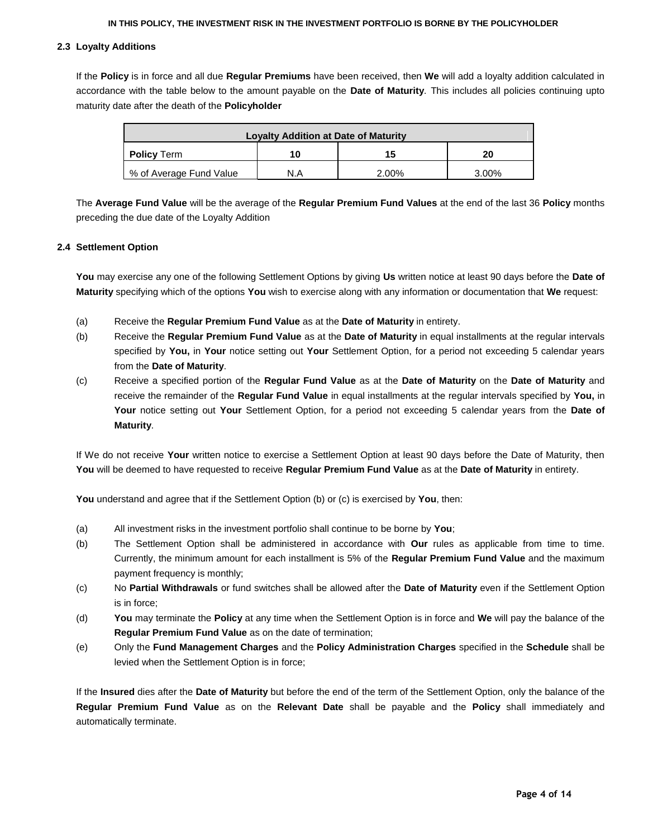## **2.3 Loyalty Additions**

If the **Policy** is in force and all due **Regular Premiums** have been received, then **We** will add a loyalty addition calculated in accordance with the table below to the amount payable on the **Date of Maturity**. This includes all policies continuing upto maturity date after the death of the **Policyholder**

| <b>Loyalty Addition at Date of Maturity</b> |     |       |          |
|---------------------------------------------|-----|-------|----------|
| <b>Policy Term</b>                          | 10  | 15    | 20       |
| % of Average Fund Value                     | N.A | 2.00% | $3.00\%$ |

The **Average Fund Value** will be the average of the **Regular Premium Fund Values** at the end of the last 36 **Policy** months preceding the due date of the Loyalty Addition

## **2.4 Settlement Option**

**You** may exercise any one of the following Settlement Options by giving **Us** written notice at least 90 days before the **Date of Maturity** specifying which of the options **You** wish to exercise along with any information or documentation that **We** request:

- (a) Receive the **Regular Premium Fund Value** as at the **Date of Maturity** in entirety.
- (b) Receive the **Regular Premium Fund Value** as at the **Date of Maturity** in equal installments at the regular intervals specified by **You,** in **Your** notice setting out **Your** Settlement Option, for a period not exceeding 5 calendar years from the **Date of Maturity**.
- (c) Receive a specified portion of the **Regular Fund Value** as at the **Date of Maturity** on the **Date of Maturity** and receive the remainder of the **Regular Fund Value** in equal installments at the regular intervals specified by **You,** in **Your** notice setting out **Your** Settlement Option, for a period not exceeding 5 calendar years from the **Date of Maturity**.

If We do not receive **Your** written notice to exercise a Settlement Option at least 90 days before the Date of Maturity, then **You** will be deemed to have requested to receive **Regular Premium Fund Value** as at the **Date of Maturity** in entirety.

**You** understand and agree that if the Settlement Option (b) or (c) is exercised by **You**, then:

- (a) All investment risks in the investment portfolio shall continue to be borne by **You**;
- (b) The Settlement Option shall be administered in accordance with **Our** rules as applicable from time to time. Currently, the minimum amount for each installment is 5% of the **Regular Premium Fund Value** and the maximum payment frequency is monthly;
- (c) No **Partial Withdrawals** or fund switches shall be allowed after the **Date of Maturity** even if the Settlement Option is in force;
- (d) **You** may terminate the **Policy** at any time when the Settlement Option is in force and **We** will pay the balance of the **Regular Premium Fund Value** as on the date of termination;
- (e) Only the **Fund Management Charges** and the **Policy Administration Charges** specified in the **Schedule** shall be levied when the Settlement Option is in force;

If the **Insured** dies after the **Date of Maturity** but before the end of the term of the Settlement Option, only the balance of the **Regular Premium Fund Value** as on the **Relevant Date** shall be payable and the **Policy** shall immediately and automatically terminate.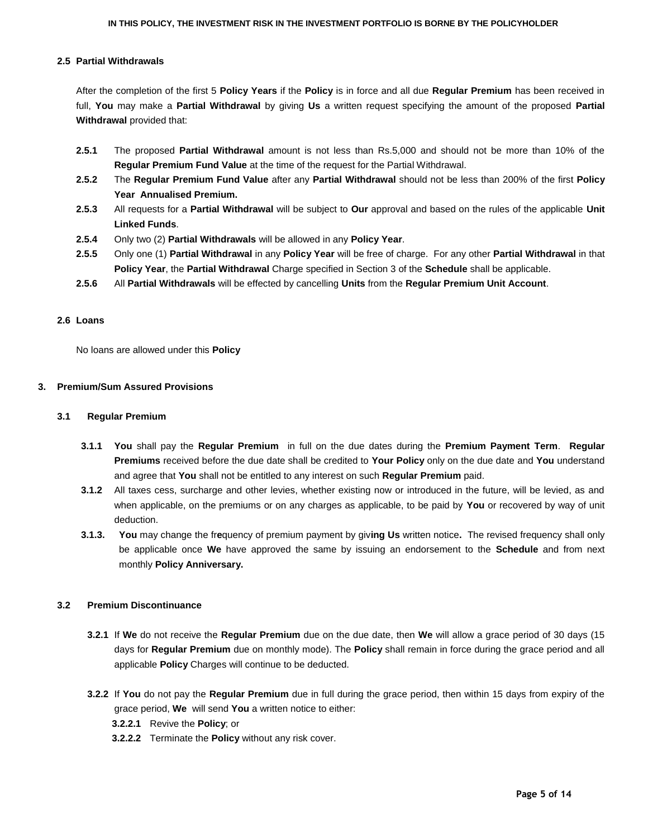## **2.5 Partial Withdrawals**

After the completion of the first 5 **Policy Years** if the **Policy** is in force and all due **Regular Premium** has been received in full, **You** may make a **Partial Withdrawal** by giving **Us** a written request specifying the amount of the proposed **Partial Withdrawal** provided that:

- **2.5.1** The proposed **Partial Withdrawal** amount is not less than Rs.5,000 and should not be more than 10% of the **Regular Premium Fund Value** at the time of the request for the Partial Withdrawal.
- **2.5.2** The **Regular Premium Fund Value** after any **Partial Withdrawal** should not be less than 200% of the first **Policy Year Annualised Premium.**
- **2.5.3** All requests for a **Partial Withdrawal** will be subject to **Our** approval and based on the rules of the applicable **Unit Linked Funds**.
- **2.5.4** Only two (2) **Partial Withdrawals** will be allowed in any **Policy Year**.
- **2.5.5** Only one (1) **Partial Withdrawal** in any **Policy Year** will be free of charge. For any other **Partial Withdrawal** in that **Policy Year**, the **Partial Withdrawal** Charge specified in Section 3 of the **Schedule** shall be applicable.
- **2.5.6** All **Partial Withdrawals** will be effected by cancelling **Units** from the **Regular Premium Unit Account**.

## **2.6 Loans**

No loans are allowed under this **Policy**

## **3. Premium/Sum Assured Provisions**

### **3.1 Regular Premium**

- **3.1.1 You** shall pay the **Regular Premium** in full on the due dates during the **Premium Payment Term**. **Regular Premiums** received before the due date shall be credited to **Your Policy** only on the due date and **You** understand and agree that **You** shall not be entitled to any interest on such **Regular Premium** paid.
- **3.1.2** All taxes cess, surcharge and other levies, whether existing now or introduced in the future, will be levied, as and when applicable, on the premiums or on any charges as applicable, to be paid by **You** or recovered by way of unit deduction.
- **3.1.3. You** may change the fr**e**quency of premium payment by giv**ing Us** written notice**.** The revised frequency shall only be applicable once **We** have approved the same by issuing an endorsement to the **Schedule** and from next monthly **Policy Anniversary.**

## **3.2 Premium Discontinuance**

- **3.2.1** If **We** do not receive the **Regular Premium** due on the due date, then **We** will allow a grace period of 30 days (15 days for **Regular Premium** due on monthly mode). The **Policy** shall remain in force during the grace period and all applicable **Policy** Charges will continue to be deducted.
- **3.2.2** If **You** do not pay the **Regular Premium** due in full during the grace period, then within 15 days from expiry of the grace period, **We** will send **You** a written notice to either:
	- **3.2.2.1** Revive the **Policy**; or
	- **3.2.2.2** Terminate the **Policy** without any risk cover.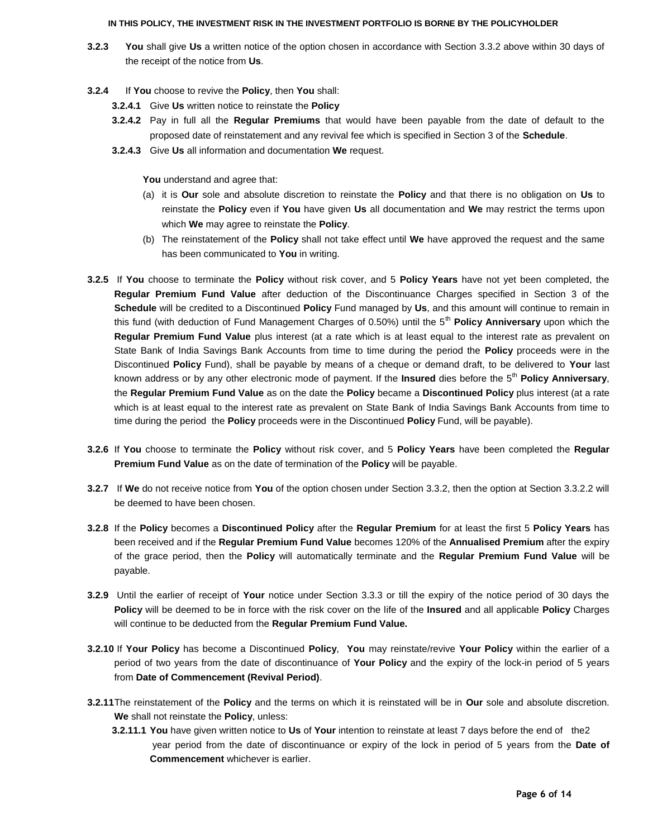- **3.2.3 You** shall give **Us** a written notice of the option chosen in accordance with Section 3.3.2 above within 30 days of the receipt of the notice from **Us**.
- **3.2.4** If **You** choose to revive the **Policy**, then **You** shall:
	- **3.2.4.1** Give **Us** written notice to reinstate the **Policy**
	- **3.2.4.2** Pay in full all the **Regular Premiums** that would have been payable from the date of default to the proposed date of reinstatement and any revival fee which is specified in Section 3 of the **Schedule**.
	- **3.2.4.3** Give **Us** all information and documentation **We** request.

You understand and agree that:

- (a) it is **Our** sole and absolute discretion to reinstate the **Policy** and that there is no obligation on **Us** to reinstate the **Policy** even if **You** have given **Us** all documentation and **We** may restrict the terms upon which **We** may agree to reinstate the **Policy**.
- (b) The reinstatement of the **Policy** shall not take effect until **We** have approved the request and the same has been communicated to **You** in writing.
- **3.2.5** If **You** choose to terminate the **Policy** without risk cover, and 5 **Policy Years** have not yet been completed, the **Regular Premium Fund Value** after deduction of the Discontinuance Charges specified in Section 3 of the **Schedule** will be credited to a Discontinued **Policy** Fund managed by **Us**, and this amount will continue to remain in this fund (with deduction of Fund Management Charges of 0.50%) until the 5<sup>th</sup> Policy Anniversary upon which the **Regular Premium Fund Value** plus interest (at a rate which is at least equal to the interest rate as prevalent on State Bank of India Savings Bank Accounts from time to time during the period the **Policy** proceeds were in the Discontinued **Policy** Fund), shall be payable by means of a cheque or demand draft, to be delivered to **Your** last known address or by any other electronic mode of payment. If the **Insured** dies before the 5th **Policy Anniversary**, the **Regular Premium Fund Value** as on the date the **Policy** became a **Discontinued Policy** plus interest (at a rate which is at least equal to the interest rate as prevalent on State Bank of India Savings Bank Accounts from time to time during the period the **Policy** proceeds were in the Discontinued **Policy** Fund, will be payable).
- **3.2.6** If **You** choose to terminate the **Policy** without risk cover, and 5 **Policy Years** have been completed the **Regular Premium Fund Value** as on the date of termination of the **Policy** will be payable.
- **3.2.7** If **We** do not receive notice from **You** of the option chosen under Section 3.3.2, then the option at Section 3.3.2.2 will be deemed to have been chosen.
- **3.2.8** If the **Policy** becomes a **Discontinued Policy** after the **Regular Premium** for at least the first 5 **Policy Years** has been received and if the **Regular Premium Fund Value** becomes 120% of the **Annualised Premium** after the expiry of the grace period, then the **Policy** will automatically terminate and the **Regular Premium Fund Value** will be payable.
- **3.2.9** Until the earlier of receipt of **Your** notice under Section 3.3.3 or till the expiry of the notice period of 30 days the **Policy** will be deemed to be in force with the risk cover on the life of the **Insured** and all applicable **Policy** Charges will continue to be deducted from the **Regular Premium Fund Value.**
- **3.2.10** If **Your Policy** has become a Discontinued **Policy**, **You** may reinstate/revive **Your Policy** within the earlier of a period of two years from the date of discontinuance of **Your Policy** and the expiry of the lock-in period of 5 years from **Date of Commencement (Revival Period)**.
- **3.2.11**The reinstatement of the **Policy** and the terms on which it is reinstated will be in **Our** sole and absolute discretion. **We** shall not reinstate the **Policy**, unless:
	- **3.2.11.1 You** have given written notice to **Us** of **Your** intention to reinstate at least 7 days before the end of the2 year period from the date of discontinuance or expiry of the lock in period of 5 years from the **Date of Commencement** whichever is earlier.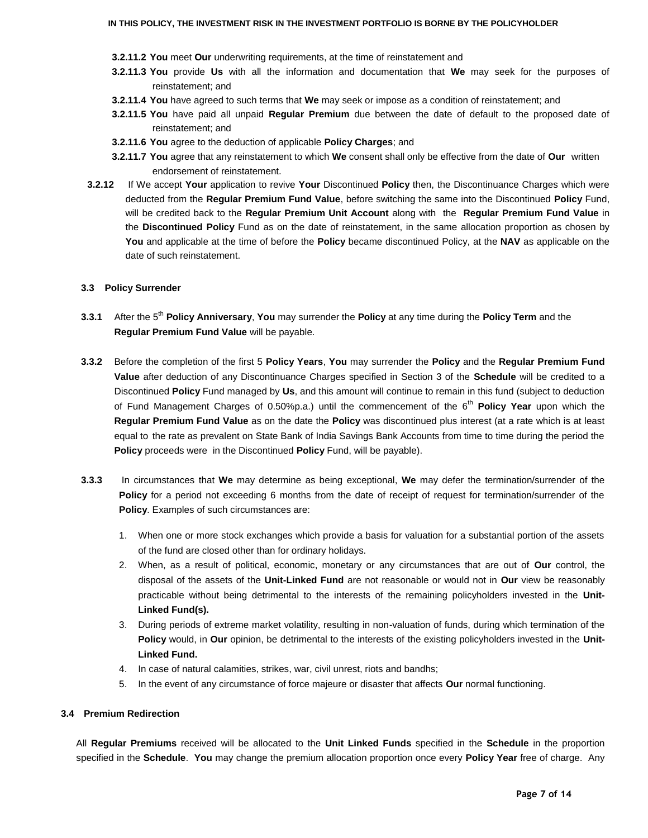- **3.2.11.2 You** meet **Our** underwriting requirements, at the time of reinstatement and
- **3.2.11.3 You** provide **Us** with all the information and documentation that **We** may seek for the purposes of reinstatement; and
- **3.2.11.4 You** have agreed to such terms that **We** may seek or impose as a condition of reinstatement; and
- **3.2.11.5 You** have paid all unpaid **Regular Premium** due between the date of default to the proposed date of reinstatement; and
- **3.2.11.6 You** agree to the deduction of applicable **Policy Charges**; and
- **3.2.11.7 You** agree that any reinstatement to which **We** consent shall only be effective from the date of **Our** written endorsement of reinstatement.
- **3.2.12** If We accept **Your** application to revive **Your** Discontinued **Policy** then, the Discontinuance Charges which were deducted from the **Regular Premium Fund Value**, before switching the same into the Discontinued **Policy** Fund, will be credited back to the **Regular Premium Unit Account** along with the **Regular Premium Fund Value** in the **Discontinued Policy** Fund as on the date of reinstatement, in the same allocation proportion as chosen by **You** and applicable at the time of before the **Policy** became discontinued Policy, at the **NAV** as applicable on the date of such reinstatement.

#### **3.3 Policy Surrender**

- **3.3.1** After the 5th **Policy Anniversary**, **You** may surrender the **Policy** at any time during the **Policy Term** and the **Regular Premium Fund Value** will be payable.
- **3.3.2** Before the completion of the first 5 **Policy Years**, **You** may surrender the **Policy** and the **Regular Premium Fund Value** after deduction of any Discontinuance Charges specified in Section 3 of the **Schedule** will be credited to a Discontinued **Policy** Fund managed by **Us**, and this amount will continue to remain in this fund (subject to deduction of Fund Management Charges of 0.50%p.a.) until the commencement of the 6<sup>th</sup> Policy Year upon which the **Regular Premium Fund Value** as on the date the **Policy** was discontinued plus interest (at a rate which is at least equal to the rate as prevalent on State Bank of India Savings Bank Accounts from time to time during the period the **Policy** proceeds were in the Discontinued **Policy** Fund, will be payable).
- **3.3.3** In circumstances that **We** may determine as being exceptional, **We** may defer the termination/surrender of the **Policy** for a period not exceeding 6 months from the date of receipt of request for termination/surrender of the **Policy**. Examples of such circumstances are:
	- 1. When one or more stock exchanges which provide a basis for valuation for a substantial portion of the assets of the fund are closed other than for ordinary holidays.
	- 2. When, as a result of political, economic, monetary or any circumstances that are out of **Our** control, the disposal of the assets of the **Unit-Linked Fund** are not reasonable or would not in **Our** view be reasonably practicable without being detrimental to the interests of the remaining policyholders invested in the **Unit-Linked Fund(s).**
	- 3. During periods of extreme market volatility, resulting in non-valuation of funds, during which termination of the **Policy** would, in **Our** opinion, be detrimental to the interests of the existing policyholders invested in the **Unit-Linked Fund.**
	- 4. In case of natural calamities, strikes, war, civil unrest, riots and bandhs;
	- 5. In the event of any circumstance of force majeure or disaster that affects **Our** normal functioning.

## **3.4 Premium Redirection**

All **Regular Premiums** received will be allocated to the **Unit Linked Funds** specified in the **Schedule** in the proportion specified in the **Schedule**. **You** may change the premium allocation proportion once every **Policy Year** free of charge. Any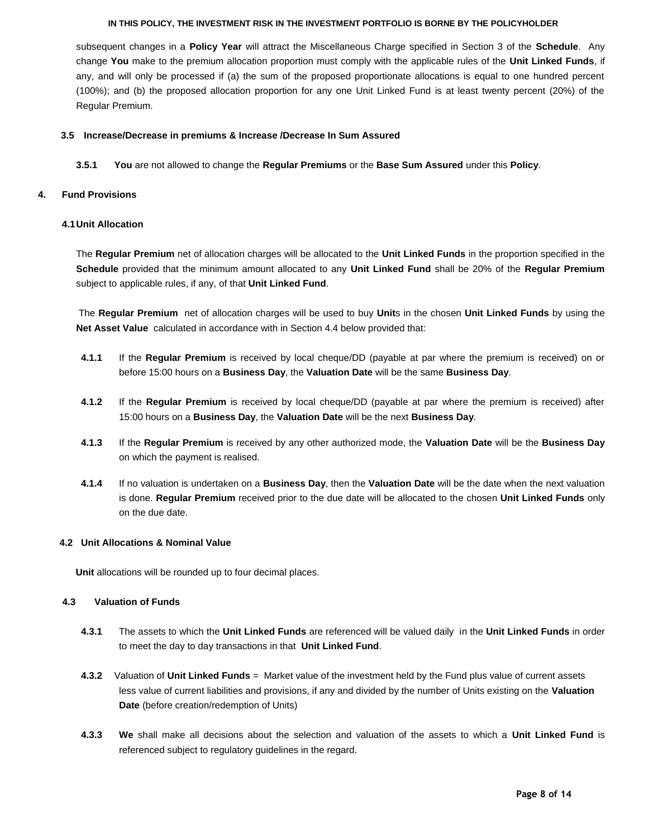subsequent changes in a **Policy Year** will attract the Miscellaneous Charge specified in Section 3 of the **Schedule**. Any change **You** make to the premium allocation proportion must comply with the applicable rules of the **Unit Linked Funds**, if any, and will only be processed if (a) the sum of the proposed proportionate allocations is equal to one hundred percent (100%); and (b) the proposed allocation proportion for any one Unit Linked Fund is at least twenty percent (20%) of the Regular Premium.

### **3.5 Increase/Decrease in premiums & Increase /Decrease In Sum Assured**

**3.5.1 You** are not allowed to change the **Regular Premiums** or the **Base Sum Assured** under this **Policy**.

## **4. Fund Provisions**

## **4.1Unit Allocation**

The **Regular Premium** net of allocation charges will be allocated to the **Unit Linked Funds** in the proportion specified in the **Schedule** provided that the minimum amount allocated to any **Unit Linked Fund** shall be 20% of the **Regular Premium**  subject to applicable rules, if any, of that **Unit Linked Fund**.

The **Regular Premium** net of allocation charges will be used to buy **Unit**s in the chosen **Unit Linked Funds** by using the **Net Asset Value** calculated in accordance with in Section 4.4 below provided that:

- **4.1.1** If the **Regular Premium** is received by local cheque/DD (payable at par where the premium is received) on or before 15:00 hours on a **Business Day**, the **Valuation Date** will be the same **Business Day**.
- **4.1.2** If the **Regular Premium** is received by local cheque/DD (payable at par where the premium is received) after 15:00 hours on a **Business Day**, the **Valuation Date** will be the next **Business Day**.
- **4.1.3** If the **Regular Premium** is received by any other authorized mode, the **Valuation Date** will be the **Business Day**  on which the payment is realised.
- **4.1.4** If no valuation is undertaken on a **Business Day**, then the **Valuation Date** will be the date when the next valuation is done. **Regular Premium** received prior to the due date will be allocated to the chosen **Unit Linked Funds** only on the due date.

## **4.2 Unit Allocations & Nominal Value**

 **Unit** allocations will be rounded up to four decimal places.

## **4.3 Valuation of Funds**

- **4.3.1** The assets to which the **Unit Linked Funds** are referenced will be valued daily in the **Unit Linked Funds** in order to meet the day to day transactions in that **Unit Linked Fund**.
- **4.3.2** Valuation of **Unit Linked Funds** = Market value of the investment held by the Fund plus value of current assets less value of current liabilities and provisions, if any and divided by the number of Units existing on the **Valuation Date** (before creation/redemption of Units)
- **4.3.3 We** shall make all decisions about the selection and valuation of the assets to which a **Unit Linked Fund** is referenced subject to regulatory guidelines in the regard.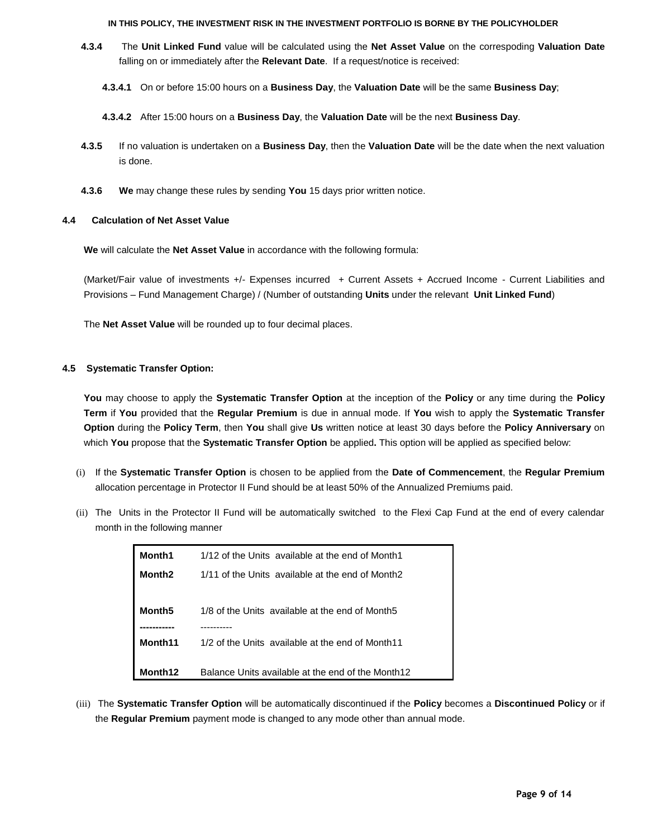- **4.3.4** The **Unit Linked Fund** value will be calculated using the **Net Asset Value** on the correspoding **Valuation Date** falling on or immediately after the **Relevant Date**. If a request/notice is received:
	- **4.3.4.1** On or before 15:00 hours on a **Business Day**, the **Valuation Date** will be the same **Business Day**;
	- **4.3.4.2** After 15:00 hours on a **Business Day**, the **Valuation Date** will be the next **Business Day**.
- **4.3.5** If no valuation is undertaken on a **Business Day**, then the **Valuation Date** will be the date when the next valuation is done.
- **4.3.6 We** may change these rules by sending **You** 15 days prior written notice.

## **4.4 Calculation of Net Asset Value**

**We** will calculate the **Net Asset Value** in accordance with the following formula:

(Market/Fair value of investments +/- Expenses incurred + Current Assets + Accrued Income - Current Liabilities and Provisions – Fund Management Charge) / (Number of outstanding **Units** under the relevant **Unit Linked Fund**)

The **Net Asset Value** will be rounded up to four decimal places.

## **4.5 Systematic Transfer Option:**

**You** may choose to apply the **Systematic Transfer Option** at the inception of the **Policy** or any time during the **Policy Term** if **You** provided that the **Regular Premium** is due in annual mode. If **You** wish to apply the **Systematic Transfer Option** during the **Policy Term**, then **You** shall give **Us** written notice at least 30 days before the **Policy Anniversary** on which **You** propose that the **Systematic Transfer Option** be applied**.** This option will be applied as specified below:

- (i) If the **Systematic Transfer Option** is chosen to be applied from the **Date of Commencement**, the **Regular Premium** allocation percentage in Protector II Fund should be at least 50% of the Annualized Premiums paid.
- (ii) The Units in the Protector II Fund will be automatically switched to the Flexi Cap Fund at the end of every calendar month in the following manner

| Month1              | 1/12 of the Units available at the end of Month1  |
|---------------------|---------------------------------------------------|
| Month <sub>2</sub>  | 1/11 of the Units available at the end of Month2  |
|                     |                                                   |
| Month <sub>5</sub>  | 1/8 of the Units available at the end of Month5   |
|                     |                                                   |
| Month <sub>11</sub> | 1/2 of the Units available at the end of Month11  |
|                     |                                                   |
| Month <sub>12</sub> | Balance Units available at the end of the Month12 |

(iii) The **Systematic Transfer Option** will be automatically discontinued if the **Policy** becomes a **Discontinued Policy** or if the **Regular Premium** payment mode is changed to any mode other than annual mode.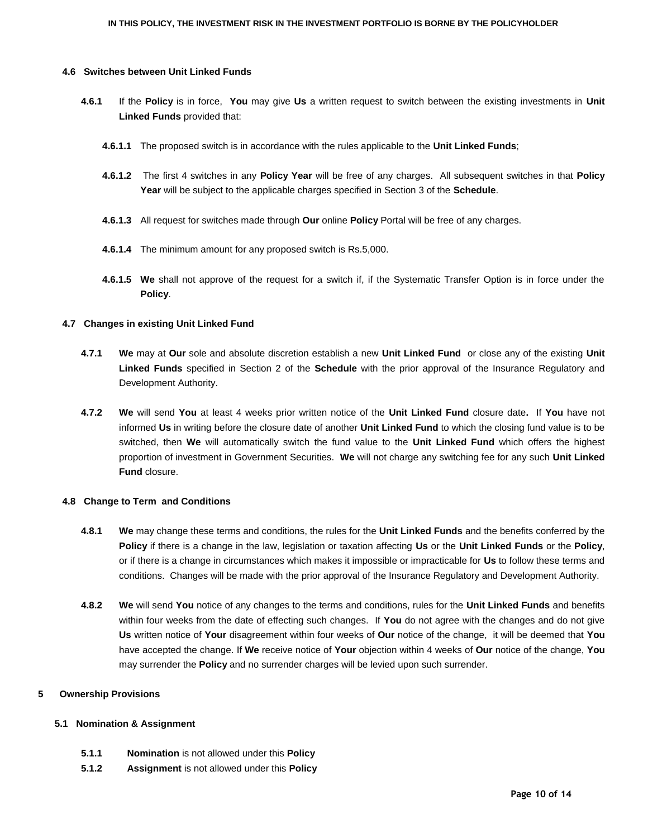#### **4.6 Switches between Unit Linked Funds**

- **4.6.1** If the **Policy** is in force, **You** may give **Us** a written request to switch between the existing investments in **Unit Linked Funds** provided that:
	- **4.6.1.1** The proposed switch is in accordance with the rules applicable to the **Unit Linked Funds**;
	- **4.6.1.2** The first 4 switches in any **Policy Year** will be free of any charges. All subsequent switches in that **Policy Year** will be subject to the applicable charges specified in Section 3 of the **Schedule**.
	- **4.6.1.3** All request for switches made through **Our** online **Policy** Portal will be free of any charges.
	- **4.6.1.4** The minimum amount for any proposed switch is Rs.5,000.
	- **4.6.1.5 We** shall not approve of the request for a switch if, if the Systematic Transfer Option is in force under the **Policy**.

## **4.7 Changes in existing Unit Linked Fund**

- **4.7.1 We** may at **Our** sole and absolute discretion establish a new **Unit Linked Fund** or close any of the existing **Unit Linked Funds** specified in Section 2 of the **Schedule** with the prior approval of the Insurance Regulatory and Development Authority.
- **4.7.2 We** will send **You** at least 4 weeks prior written notice of the **Unit Linked Fund** closure date**.** If **You** have not informed **Us** in writing before the closure date of another **Unit Linked Fund** to which the closing fund value is to be switched, then **We** will automatically switch the fund value to the **Unit Linked Fund** which offers the highest proportion of investment in Government Securities. **We** will not charge any switching fee for any such **Unit Linked Fund** closure.

#### **4.8 Change to Term and Conditions**

- **4.8.1 We** may change these terms and conditions, the rules for the **Unit Linked Funds** and the benefits conferred by the **Policy** if there is a change in the law, legislation or taxation affecting **Us** or the **Unit Linked Funds** or the **Policy**, or if there is a change in circumstances which makes it impossible or impracticable for **Us** to follow these terms and conditions. Changes will be made with the prior approval of the Insurance Regulatory and Development Authority.
- **4.8.2 We** will send **You** notice of any changes to the terms and conditions, rules for the **Unit Linked Funds** and benefits within four weeks from the date of effecting such changes. If **You** do not agree with the changes and do not give **Us** written notice of **Your** disagreement within four weeks of **Our** notice of the change, it will be deemed that **You** have accepted the change. If **We** receive notice of **Your** objection within 4 weeks of **Our** notice of the change, **You** may surrender the **Policy** and no surrender charges will be levied upon such surrender.

## **5 Ownership Provisions**

## **5.1 Nomination & Assignment**

- **5.1.1 Nomination** is not allowed under this **Policy**
- **5.1.2 Assignment** is not allowed under this **Policy**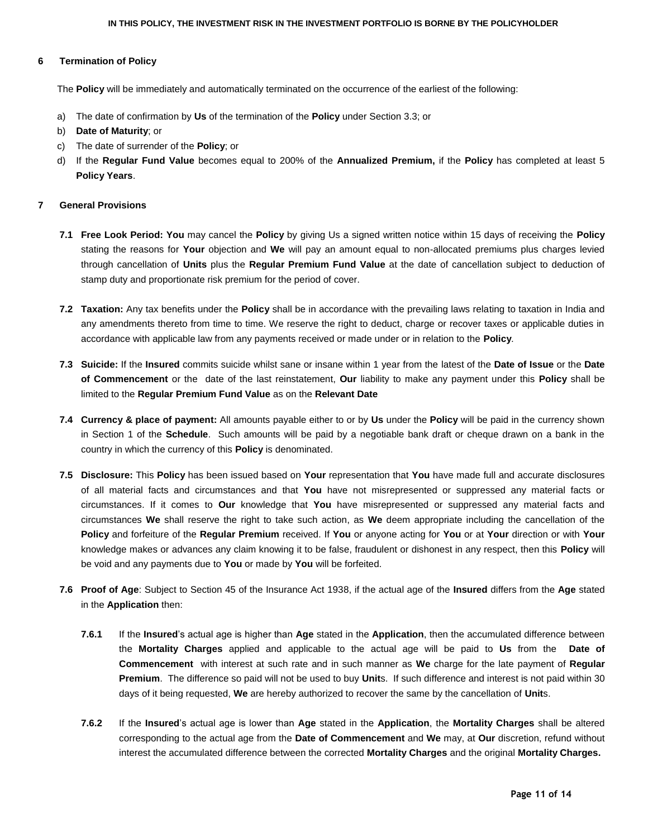### **6 Termination of Policy**

The **Policy** will be immediately and automatically terminated on the occurrence of the earliest of the following:

- a) The date of confirmation by **Us** of the termination of the **Policy** under Section 3.3; or
- b) **Date of Maturity**; or
- c) The date of surrender of the **Policy**; or
- d) If the **Regular Fund Value** becomes equal to 200% of the **Annualized Premium,** if the **Policy** has completed at least 5 **Policy Years**.

### **7 General Provisions**

- **7.1 Free Look Period: You** may cancel the **Policy** by giving Us a signed written notice within 15 days of receiving the **Policy** stating the reasons for **Your** objection and **We** will pay an amount equal to non-allocated premiums plus charges levied through cancellation of **Units** plus the **Regular Premium Fund Value** at the date of cancellation subject to deduction of stamp duty and proportionate risk premium for the period of cover.
- **7.2 Taxation:** Any tax benefits under the **Policy** shall be in accordance with the prevailing laws relating to taxation in India and any amendments thereto from time to time. We reserve the right to deduct, charge or recover taxes or applicable duties in accordance with applicable law from any payments received or made under or in relation to the **Policy**.
- **7.3 Suicide:** If the **Insured** commits suicide whilst sane or insane within 1 year from the latest of the **Date of Issue** or the **Date of Commencement** or the date of the last reinstatement, **Our** liability to make any payment under this **Policy** shall be limited to the **Regular Premium Fund Value** as on the **Relevant Date**
- **7.4 Currency & place of payment:** All amounts payable either to or by **Us** under the **Policy** will be paid in the currency shown in Section 1 of the **Schedule**. Such amounts will be paid by a negotiable bank draft or cheque drawn on a bank in the country in which the currency of this **Policy** is denominated.
- **7.5 Disclosure:** This **Policy** has been issued based on **Your** representation that **You** have made full and accurate disclosures of all material facts and circumstances and that **You** have not misrepresented or suppressed any material facts or circumstances. If it comes to **Our** knowledge that **You** have misrepresented or suppressed any material facts and circumstances **We** shall reserve the right to take such action, as **We** deem appropriate including the cancellation of the **Policy** and forfeiture of the **Regular Premium** received. If **You** or anyone acting for **You** or at **Your** direction or with **Your** knowledge makes or advances any claim knowing it to be false, fraudulent or dishonest in any respect, then this **Policy** will be void and any payments due to **You** or made by **You** will be forfeited.
- **7.6 Proof of Age**: Subject to Section 45 of the Insurance Act 1938, if the actual age of the **Insured** differs from the **Age** stated in the **Application** then:
	- **7.6.1** If the **Insured**"s actual age is higher than **Age** stated in the **Application**, then the accumulated difference between the **Mortality Charges** applied and applicable to the actual age will be paid to **Us** from the **Date of Commencement** with interest at such rate and in such manner as **We** charge for the late payment of **Regular Premium**. The difference so paid will not be used to buy **Unit**s. If such difference and interest is not paid within 30 days of it being requested, **We** are hereby authorized to recover the same by the cancellation of **Unit**s.
	- **7.6.2** If the **Insured**"s actual age is lower than **Age** stated in the **Application**, the **Mortality Charges** shall be altered corresponding to the actual age from the **Date of Commencement** and **We** may, at **Our** discretion, refund without interest the accumulated difference between the corrected **Mortality Charges** and the original **Mortality Charges.**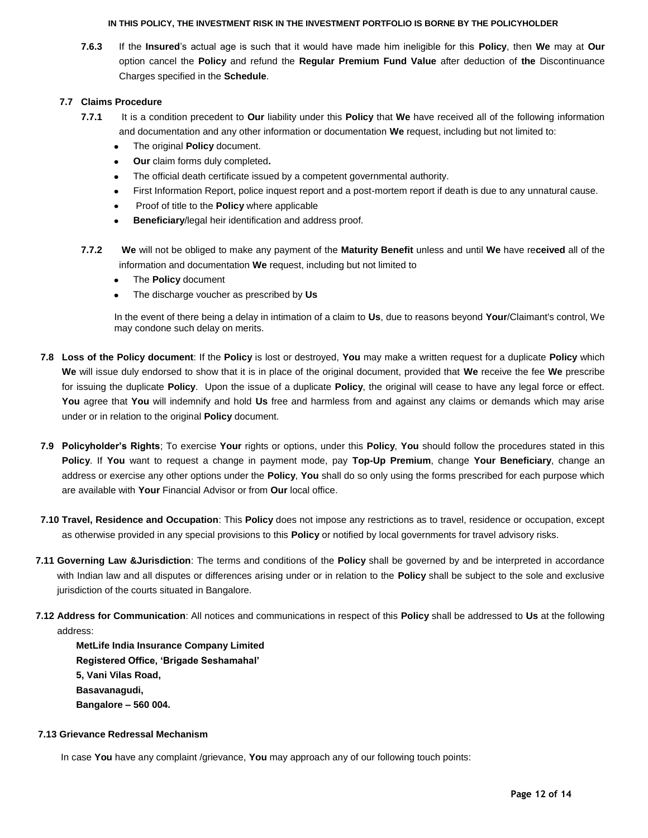**7.6.3** If the **Insured**"s actual age is such that it would have made him ineligible for this **Policy**, then **We** may at **Our** option cancel the **Policy** and refund the **Regular Premium Fund Value** after deduction of **the** Discontinuance Charges specified in the **Schedule**.

# **7.7 Claims Procedure**

- **7.7.1** It is a condition precedent to **Our** liability under this **Policy** that **We** have received all of the following information and documentation and any other information or documentation **We** request, including but not limited to:
	- The original **Policy** document.  $\bullet$
	- **Our** claim forms duly completed**.**
	- The official death certificate issued by a competent governmental authority.  $\bullet$
	- First Information Report, police inquest report and a post-mortem report if death is due to any unnatural cause.
	- Proof of title to the **Policy** where applicable
	- **Beneficiary**/legal heir identification and address proof.
- **7.7.2 We** will not be obliged to make any payment of the **Maturity Benefit** unless and until **We** have re**ceived** all of the information and documentation **We** request, including but not limited to
	- The **Policy** document
	- The discharge voucher as prescribed by **Us**  $\bullet$

In the event of there being a delay in intimation of a claim to **Us**, due to reasons beyond **Your**/Claimant's control, We may condone such delay on merits.

- **7.8 Loss of the Policy document**: If the **Policy** is lost or destroyed, **You** may make a written request for a duplicate **Policy** which **We** will issue duly endorsed to show that it is in place of the original document, provided that **We** receive the fee **We** prescribe for issuing the duplicate **Policy**. Upon the issue of a duplicate **Policy**, the original will cease to have any legal force or effect. **You** agree that **You** will indemnify and hold **Us** free and harmless from and against any claims or demands which may arise under or in relation to the original **Policy** document.
- **7.9 Policyholder"s Rights**; To exercise **Your** rights or options, under this **Policy**, **You** should follow the procedures stated in this **Policy**. If **You** want to request a change in payment mode, pay **Top-Up Premium**, change **Your Beneficiary**, change an address or exercise any other options under the **Policy**, **You** shall do so only using the forms prescribed for each purpose which are available with **Your** Financial Advisor or from **Our** local office.
- **7.10 Travel, Residence and Occupation**: This **Policy** does not impose any restrictions as to travel, residence or occupation, except as otherwise provided in any special provisions to this **Policy** or notified by local governments for travel advisory risks.
- **7.11 Governing Law &Jurisdiction**: The terms and conditions of the **Policy** shall be governed by and be interpreted in accordance with Indian law and all disputes or differences arising under or in relation to the **Policy** shall be subject to the sole and exclusive jurisdiction of the courts situated in Bangalore.
- **7.12 Address for Communication**: All notices and communications in respect of this **Policy** shall be addressed to **Us** at the following address:

**MetLife India Insurance Company Limited Registered Office, "Brigade Seshamahal" 5, Vani Vilas Road, Basavanagudi, Bangalore – 560 004.**

## **7.13 Grievance Redressal Mechanism**

In case **You** have any complaint /grievance, **You** may approach any of our following touch points: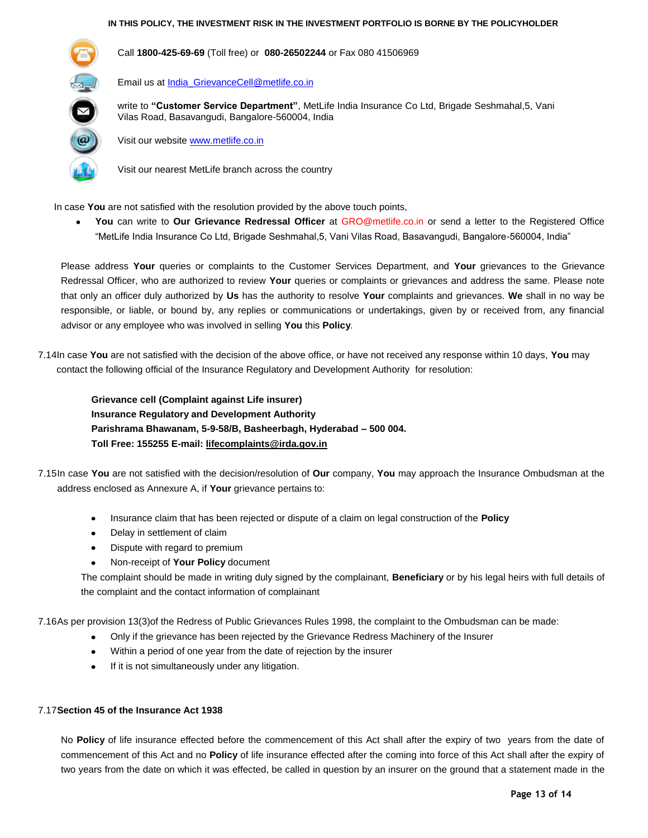

Call **1800-425-69-69** (Toll free) or **080-26502244** or Fax 080 41506969

Email us at **India\_GrievanceCell@metlife.co.in** 

write to **"Customer Service Department"**, MetLife India Insurance Co Ltd, Brigade Seshmahal,5, Vani Vilas Road, Basavangudi, Bangalore-560004, India

Visit our website [www.metlife.co.in](http://www.metlife.co.in/)

Visit our nearest MetLife branch across the country

In case **You** are not satisfied with the resolution provided by the above touch points,

**You** can write to **Our Grievance Redressal Officer** at GRO@metlife.co.in or send a letter to the Registered Office "MetLife India Insurance Co Ltd, Brigade Seshmahal,5, Vani Vilas Road, Basavangudi, Bangalore-560004, India"

Please address **Your** queries or complaints to the Customer Services Department, and **Your** grievances to the Grievance Redressal Officer, who are authorized to review **Your** queries or complaints or grievances and address the same. Please note that only an officer duly authorized by **Us** has the authority to resolve **Your** complaints and grievances. **We** shall in no way be responsible, or liable, or bound by, any replies or communications or undertakings, given by or received from, any financial advisor or any employee who was involved in selling **You** this **Policy**.

7.14In case **You** are not satisfied with the decision of the above office, or have not received any response within 10 days, **You** may contact the following official of the Insurance Regulatory and Development Authority for resolution:

**Grievance cell (Complaint against Life insurer) Insurance Regulatory and Development Authority Parishrama Bhawanam, 5-9-58/B, Basheerbagh, Hyderabad – 500 004. Toll Free: 155255 E-mail[: lifecomplaints@irda.gov.in](mailto:lifecomplaints@irda.gov.in)**

7.15In case **You** are not satisfied with the decision/resolution of **Our** company, **You** may approach the Insurance Ombudsman at the address enclosed as Annexure A, if **Your** grievance pertains to:

- Insurance claim that has been rejected or dispute of a claim on legal construction of the **Policy**
- Delay in settlement of claim
- Dispute with regard to premium
- Non-receipt of **Your Policy** document

The complaint should be made in writing duly signed by the complainant, **Beneficiary** or by his legal heirs with full details of the complaint and the contact information of complainant

7.16As per provision 13(3)of the Redress of Public Grievances Rules 1998, the complaint to the Ombudsman can be made:

- Only if the grievance has been rejected by the Grievance Redress Machinery of the Insurer
- Within a period of one year from the date of rejection by the insurer
- If it is not simultaneously under any litigation.

## 7.17**Section 45 of the Insurance Act 1938**

No **Policy** of life insurance effected before the commencement of this Act shall after the expiry of two years from the date of commencement of this Act and no **Policy** of life insurance effected after the coming into force of this Act shall after the expiry of two years from the date on which it was effected, be called in question by an insurer on the ground that a statement made in the